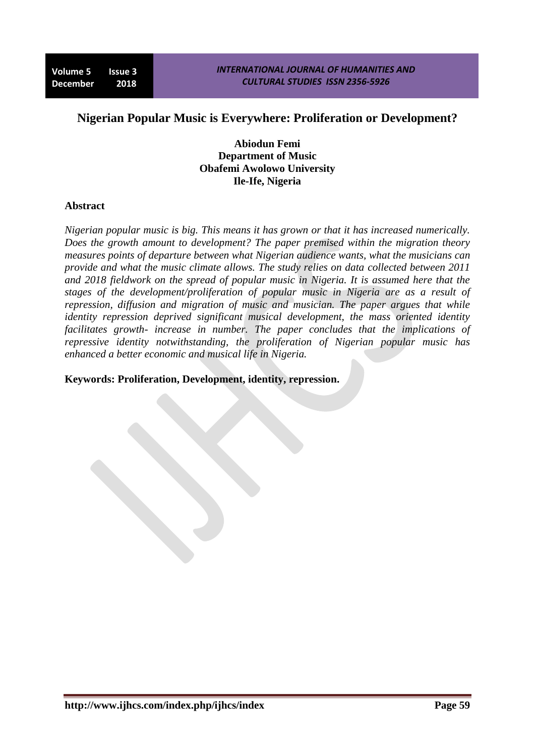# **Nigerian Popular Music is Everywhere: Proliferation or Development?**

**Abiodun Femi Department of Music Obafemi Awolowo University Ile-Ife, Nigeria**

#### **Abstract**

*Nigerian popular music is big. This means it has grown or that it has increased numerically. Does the growth amount to development? The paper premised within the migration theory measures points of departure between what Nigerian audience wants, what the musicians can provide and what the music climate allows. The study relies on data collected between 2011 and 2018 fieldwork on the spread of popular music in Nigeria. It is assumed here that the stages of the development/proliferation of popular music in Nigeria are as a result of repression, diffusion and migration of music and musician. The paper argues that while identity repression deprived significant musical development, the mass oriented identity facilitates growth- increase in number. The paper concludes that the implications of repressive identity notwithstanding, the proliferation of Nigerian popular music has enhanced a better economic and musical life in Nigeria.*

### **Keywords: Proliferation, Development, identity, repression.**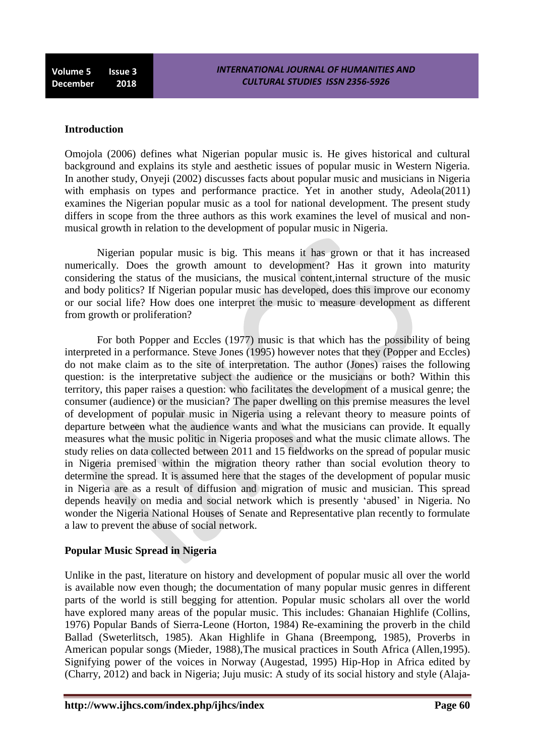**Volume 5 Issue 3 December 2018**

#### **Introduction**

Omojola (2006) defines what Nigerian popular music is. He gives historical and cultural background and explains its style and aesthetic issues of popular music in Western Nigeria. In another study, Onyeji (2002) discusses facts about popular music and musicians in Nigeria with emphasis on types and performance practice. Yet in another study, Adeola(2011) examines the Nigerian popular music as a tool for national development. The present study differs in scope from the three authors as this work examines the level of musical and nonmusical growth in relation to the development of popular music in Nigeria.

Nigerian popular music is big. This means it has grown or that it has increased numerically. Does the growth amount to development? Has it grown into maturity considering the status of the musicians, the musical content,internal structure of the music and body politics? If Nigerian popular music has developed, does this improve our economy or our social life? How does one interpret the music to measure development as different from growth or proliferation?

For both Popper and Eccles (1977) music is that which has the possibility of being interpreted in a performance. Steve Jones (1995) however notes that they (Popper and Eccles) do not make claim as to the site of interpretation. The author (Jones) raises the following question: is the interpretative subject the audience or the musicians or both? Within this territory, this paper raises a question: who facilitates the development of a musical genre; the consumer (audience) or the musician? The paper dwelling on this premise measures the level of development of popular music in Nigeria using a relevant theory to measure points of departure between what the audience wants and what the musicians can provide. It equally measures what the music politic in Nigeria proposes and what the music climate allows. The study relies on data collected between 2011 and 15 fieldworks on the spread of popular music in Nigeria premised within the migration theory rather than social evolution theory to determine the spread. It is assumed here that the stages of the development of popular music in Nigeria are as a result of diffusion and migration of music and musician. This spread depends heavily on media and social network which is presently "abused" in Nigeria. No wonder the Nigeria National Houses of Senate and Representative plan recently to formulate a law to prevent the abuse of social network.

#### **Popular Music Spread in Nigeria**

Unlike in the past, literature on history and development of popular music all over the world is available now even though; the documentation of many popular music genres in different parts of the world is still begging for attention. Popular music scholars all over the world have explored many areas of the popular music. This includes: Ghanaian Highlife (Collins, 1976) Popular Bands of Sierra-Leone (Horton, 1984) Re-examining the proverb in the child Ballad (Sweterlitsch, 1985). Akan Highlife in Ghana (Breempong, 1985), Proverbs in American popular songs (Mieder, 1988),The musical practices in South Africa (Allen,1995). Signifying power of the voices in Norway (Augestad, 1995) Hip-Hop in Africa edited by (Charry, 2012) and back in Nigeria; Juju music: A study of its social history and style (Alaja-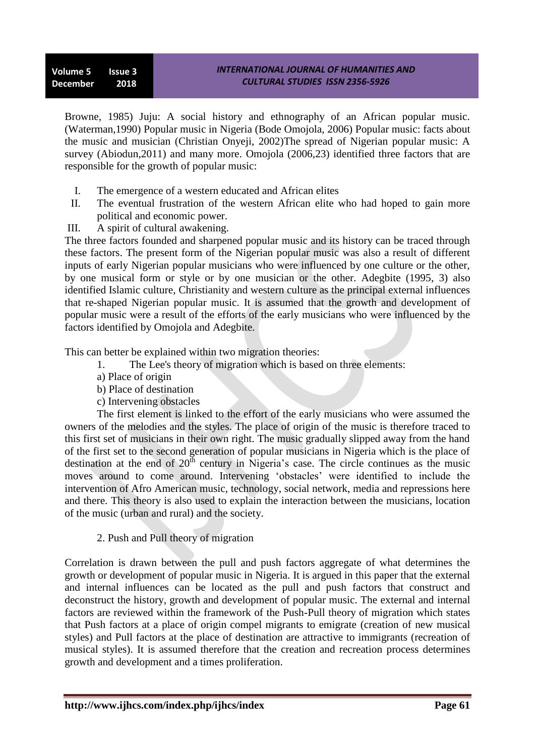Browne, 1985) Juju: A social history and ethnography of an African popular music. (Waterman,1990) Popular music in Nigeria (Bode Omojola, 2006) Popular music: facts about the music and musician (Christian Onyeji, 2002)The spread of Nigerian popular music: A survey (Abiodun, 2011) and many more. Omojola (2006, 23) identified three factors that are responsible for the growth of popular music:

- I. The emergence of a western educated and African elites
- II. The eventual frustration of the western African elite who had hoped to gain more political and economic power.
- III. A spirit of cultural awakening.

The three factors founded and sharpened popular music and its history can be traced through these factors. The present form of the Nigerian popular music was also a result of different inputs of early Nigerian popular musicians who were influenced by one culture or the other, by one musical form or style or by one musician or the other. Adegbite (1995, 3) also identified Islamic culture, Christianity and western culture as the principal external influences that re-shaped Nigerian popular music. It is assumed that the growth and development of popular music were a result of the efforts of the early musicians who were influenced by the factors identified by Omojola and Adegbite.

This can better be explained within two migration theories:

- 1. The Lee's theory of migration which is based on three elements:
- a) Place of origin
- b) Place of destination
- c) Intervening obstacles

The first element is linked to the effort of the early musicians who were assumed the owners of the melodies and the styles. The place of origin of the music is therefore traced to this first set of musicians in their own right. The music gradually slipped away from the hand of the first set to the second generation of popular musicians in Nigeria which is the place of destination at the end of  $20<sup>th</sup>$  century in Nigeria's case. The circle continues as the music moves around to come around. Intervening "obstacles" were identified to include the intervention of Afro American music, technology, social network, media and repressions here and there. This theory is also used to explain the interaction between the musicians, location of the music (urban and rural) and the society.

# 2. Push and Pull theory of migration

Correlation is drawn between the pull and push factors aggregate of what determines the growth or development of popular music in Nigeria. It is argued in this paper that the external and internal influences can be located as the pull and push factors that construct and deconstruct the history, growth and development of popular music. The external and internal factors are reviewed within the framework of the Push-Pull theory of migration which states that Push factors at a place of origin compel migrants to emigrate (creation of new musical styles) and Pull factors at the place of destination are attractive to immigrants (recreation of musical styles). It is assumed therefore that the creation and recreation process determines growth and development and a times proliferation.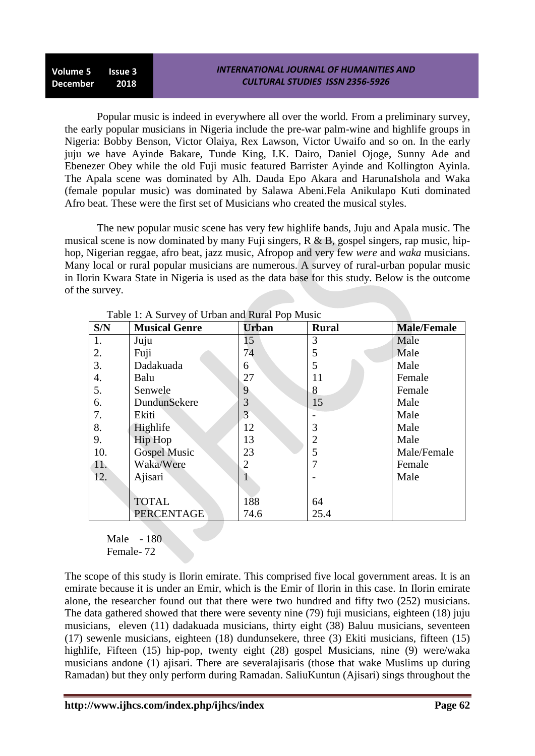**Volume 5 Issue 3 December 2018**

Popular music is indeed in everywhere all over the world. From a preliminary survey, the early popular musicians in Nigeria include the pre-war palm-wine and highlife groups in Nigeria: Bobby Benson, Victor Olaiya, Rex Lawson, Victor Uwaifo and so on. In the early juju we have Ayinde Bakare, Tunde King, I.K. Dairo, Daniel Ojoge, Sunny Ade and Ebenezer Obey while the old Fuji music featured Barrister Ayinde and Kollington Ayinla. The Apala scene was dominated by Alh. Dauda Epo Akara and HarunaIshola and Waka (female popular music) was dominated by Salawa Abeni.Fela Anikulapo Kuti dominated Afro beat. These were the first set of Musicians who created the musical styles.

The new popular music scene has very few highlife bands, Juju and Apala music. The musical scene is now dominated by many Fuji singers,  $R \& B$ , gospel singers, rap music, hiphop, Nigerian reggae, afro beat, jazz music, Afropop and very few *were* and *waka* musicians. Many local or rural popular musicians are numerous. A survey of rural-urban popular music in Ilorin Kwara State in Nigeria is used as the data base for this study. Below is the outcome of the survey.

| S/N | <b>Musical Genre</b> | <b>Urban</b> | <b>Rural</b> | <b>Male/Female</b> |
|-----|----------------------|--------------|--------------|--------------------|
| 1.  | Juju                 | 15           | 3            | Male               |
| 2.  | Fuji                 | 74           | 5            | Male               |
| 3.  | Dadakuada            | 6            | 5            | Male               |
| 4.  | Balu                 | 27           | 11           | Female             |
| 5.  | Senwele              | 9            | 8            | Female             |
| 6.  | DundunSekere         | 3            | 15           | Male               |
| 7.  | Ekiti                | 3            |              | Male               |
| 8.  | Highlife             | 12           | 3            | Male               |
| 9.  | Hip Hop              | 13           | 2            | Male               |
| 10. | <b>Gospel Music</b>  | 23           | 5            | Male/Female        |
| 11. | Waka/Were            |              | 7            | Female             |
| 12. | Ajisari              |              |              | Male               |
|     |                      |              |              |                    |
|     | <b>TOTAL</b>         | 188          | 64           |                    |
|     | <b>PERCENTAGE</b>    | 74.6         | 25.4         |                    |

Table 1: A Survey of Urban and Rural Pop Music

Male - 180 Female- 72

The scope of this study is Ilorin emirate. This comprised five local government areas. It is an emirate because it is under an Emir, which is the Emir of Ilorin in this case. In Ilorin emirate alone, the researcher found out that there were two hundred and fifty two (252) musicians. The data gathered showed that there were seventy nine (79) fuji musicians, eighteen (18) juju musicians, eleven (11) dadakuada musicians, thirty eight (38) Baluu musicians, seventeen (17) sewenle musicians, eighteen (18) dundunsekere, three (3) Ekiti musicians, fifteen (15) highlife, Fifteen (15) hip-pop, twenty eight (28) gospel Musicians, nine (9) were/waka musicians andone (1) ajisari. There are severalajisaris (those that wake Muslims up during Ramadan) but they only perform during Ramadan. SaliuKuntun (Ajisari) sings throughout the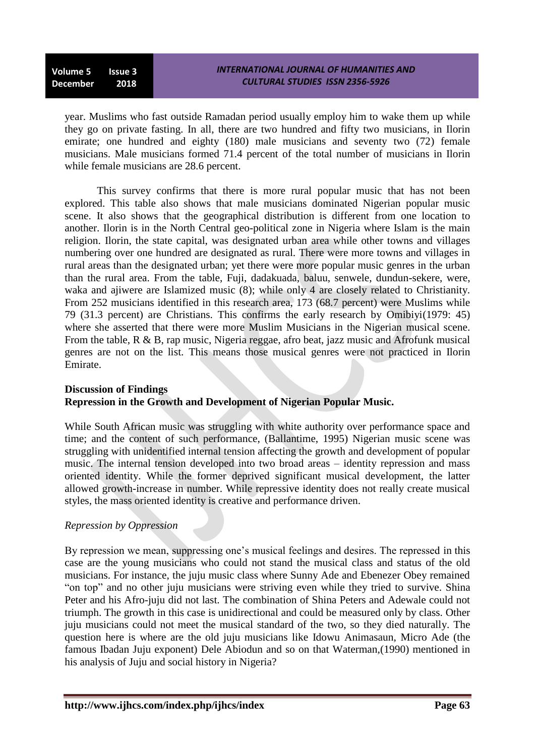**Volume 5 Issue 3 December 2018**

year. Muslims who fast outside Ramadan period usually employ him to wake them up while they go on private fasting. In all, there are two hundred and fifty two musicians, in Ilorin emirate; one hundred and eighty (180) male musicians and seventy two (72) female musicians. Male musicians formed 71.4 percent of the total number of musicians in Ilorin while female musicians are 28.6 percent.

This survey confirms that there is more rural popular music that has not been explored. This table also shows that male musicians dominated Nigerian popular music scene. It also shows that the geographical distribution is different from one location to another. Ilorin is in the North Central geo-political zone in Nigeria where Islam is the main religion. Ilorin, the state capital, was designated urban area while other towns and villages numbering over one hundred are designated as rural. There were more towns and villages in rural areas than the designated urban; yet there were more popular music genres in the urban than the rural area. From the table, Fuji, dadakuada, baluu, senwele, dundun-sekere, were, waka and ajiwere are Islamized music (8); while only 4 are closely related to Christianity. From 252 musicians identified in this research area, 173 (68.7 percent) were Muslims while 79 (31.3 percent) are Christians. This confirms the early research by Omibiyi(1979: 45) where she asserted that there were more Muslim Musicians in the Nigerian musical scene. From the table, R & B, rap music, Nigeria reggae, afro beat, jazz music and Afrofunk musical genres are not on the list. This means those musical genres were not practiced in Ilorin Emirate.

#### **Discussion of Findings Repression in the Growth and Development of Nigerian Popular Music.**

While South African music was struggling with white authority over performance space and time; and the content of such performance, (Ballantime, 1995) Nigerian music scene was struggling with unidentified internal tension affecting the growth and development of popular music. The internal tension developed into two broad areas – identity repression and mass oriented identity. While the former deprived significant musical development, the latter allowed growth-increase in number. While repressive identity does not really create musical styles, the mass oriented identity is creative and performance driven.

#### *Repression by Oppression*

By repression we mean, suppressing one's musical feelings and desires. The repressed in this case are the young musicians who could not stand the musical class and status of the old musicians. For instance, the juju music class where Sunny Ade and Ebenezer Obey remained "on top" and no other juju musicians were striving even while they tried to survive. Shina Peter and his Afro-juju did not last. The combination of Shina Peters and Adewale could not triumph. The growth in this case is unidirectional and could be measured only by class. Other juju musicians could not meet the musical standard of the two, so they died naturally. The question here is where are the old juju musicians like Idowu Animasaun, Micro Ade (the famous Ibadan Juju exponent) Dele Abiodun and so on that Waterman,(1990) mentioned in his analysis of Juju and social history in Nigeria?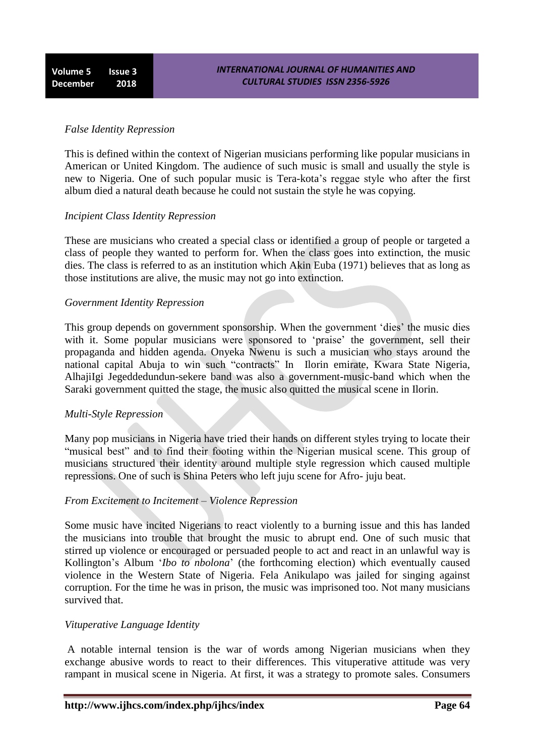# *False Identity Repression*

This is defined within the context of Nigerian musicians performing like popular musicians in American or United Kingdom. The audience of such music is small and usually the style is new to Nigeria. One of such popular music is Tera-kota"s reggae style who after the first album died a natural death because he could not sustain the style he was copying.

### *Incipient Class Identity Repression*

These are musicians who created a special class or identified a group of people or targeted a class of people they wanted to perform for. When the class goes into extinction, the music dies. The class is referred to as an institution which Akin Euba (1971) believes that as long as those institutions are alive, the music may not go into extinction.

### *Government Identity Repression*

This group depends on government sponsorship. When the government 'dies' the music dies with it. Some popular musicians were sponsored to 'praise' the government, sell their propaganda and hidden agenda. Onyeka Nwenu is such a musician who stays around the national capital Abuja to win such "contracts" In Ilorin emirate, Kwara State Nigeria, AlhajiIgi Jegeddedundun-sekere band was also a government-music-band which when the Saraki government quitted the stage, the music also quitted the musical scene in Ilorin.

# *Multi-Style Repression*

Many pop musicians in Nigeria have tried their hands on different styles trying to locate their "musical best" and to find their footing within the Nigerian musical scene. This group of musicians structured their identity around multiple style regression which caused multiple repressions. One of such is Shina Peters who left juju scene for Afro- juju beat.

# *From Excitement to Incitement – Violence Repression*

Some music have incited Nigerians to react violently to a burning issue and this has landed the musicians into trouble that brought the music to abrupt end. One of such music that stirred up violence or encouraged or persuaded people to act and react in an unlawful way is Kollington"s Album "*Ibo to nbolona*" (the forthcoming election) which eventually caused violence in the Western State of Nigeria. Fela Anikulapo was jailed for singing against corruption. For the time he was in prison, the music was imprisoned too. Not many musicians survived that.

#### *Vituperative Language Identity*

A notable internal tension is the war of words among Nigerian musicians when they exchange abusive words to react to their differences. This vituperative attitude was very rampant in musical scene in Nigeria. At first, it was a strategy to promote sales. Consumers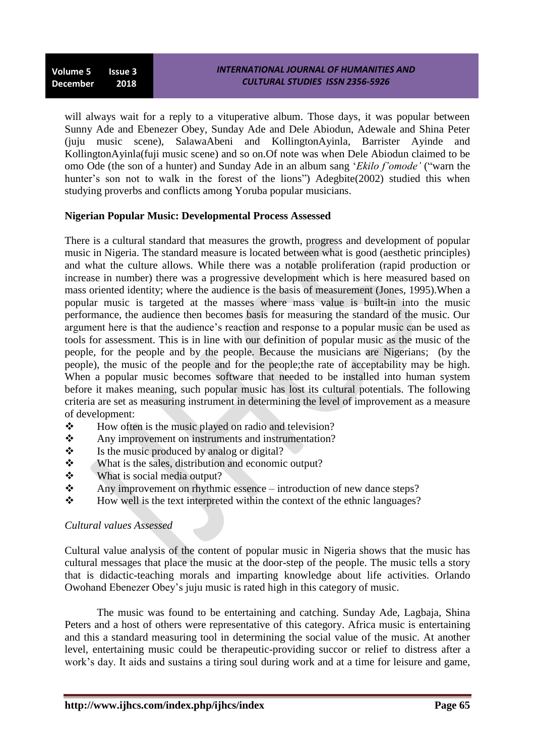will always wait for a reply to a vituperative album. Those days, it was popular between Sunny Ade and Ebenezer Obey, Sunday Ade and Dele Abiodun, Adewale and Shina Peter (juju music scene), SalawaAbeni and KollingtonAyinla, Barrister Ayinde and KollingtonAyinla(fuji music scene) and so on.Of note was when Dele Abiodun claimed to be omo Ode (the son of a hunter) and Sunday Ade in an album sang "*Ekilo f'omode'* ("warn the hunter's son not to walk in the forest of the lions") Adegbite(2002) studied this when studying proverbs and conflicts among Yoruba popular musicians.

# **Nigerian Popular Music: Developmental Process Assessed**

There is a cultural standard that measures the growth, progress and development of popular music in Nigeria. The standard measure is located between what is good (aesthetic principles) and what the culture allows. While there was a notable proliferation (rapid production or increase in number) there was a progressive development which is here measured based on mass oriented identity; where the audience is the basis of measurement (Jones, 1995).When a popular music is targeted at the masses where mass value is built-in into the music performance, the audience then becomes basis for measuring the standard of the music. Our argument here is that the audience"s reaction and response to a popular music can be used as tools for assessment. This is in line with our definition of popular music as the music of the people, for the people and by the people. Because the musicians are Nigerians; (by the people), the music of the people and for the people;the rate of acceptability may be high. When a popular music becomes software that needed to be installed into human system before it makes meaning, such popular music has lost its cultural potentials. The following criteria are set as measuring instrument in determining the level of improvement as a measure of development:

- $\bullet$  How often is the music played on radio and television?
- \* Any improvement on instruments and instrumentation?
- $\mathbf{\hat{P}}$  Is the music produced by analog or digital?
- What is the sales, distribution and economic output?
- $\div$  What is social media output?
- Any improvement on rhythmic essence introduction of new dance steps?
- $\div$  How well is the text interpreted within the context of the ethnic languages?

#### *Cultural values Assessed*

Cultural value analysis of the content of popular music in Nigeria shows that the music has cultural messages that place the music at the door-step of the people. The music tells a story that is didactic-teaching morals and imparting knowledge about life activities. Orlando Owohand Ebenezer Obey"s juju music is rated high in this category of music.

The music was found to be entertaining and catching. Sunday Ade, Lagbaja, Shina Peters and a host of others were representative of this category. Africa music is entertaining and this a standard measuring tool in determining the social value of the music. At another level, entertaining music could be therapeutic-providing succor or relief to distress after a work"s day. It aids and sustains a tiring soul during work and at a time for leisure and game,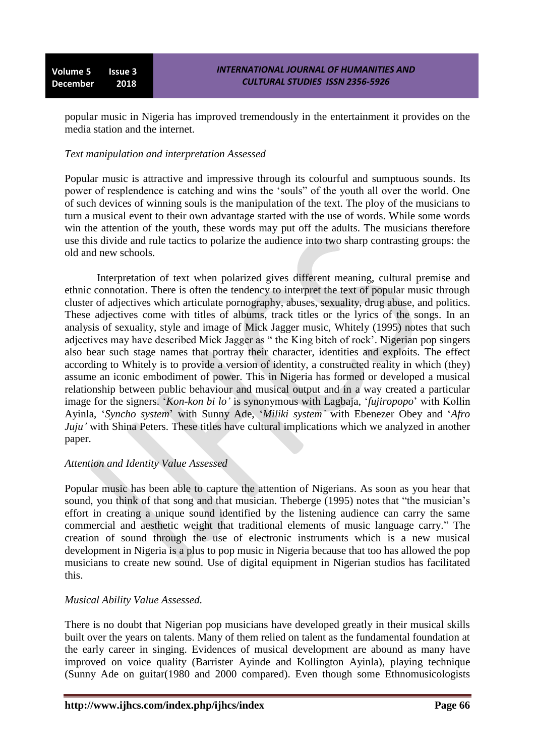popular music in Nigeria has improved tremendously in the entertainment it provides on the media station and the internet.

### *Text manipulation and interpretation Assessed*

Popular music is attractive and impressive through its colourful and sumptuous sounds. Its power of resplendence is catching and wins the "souls" of the youth all over the world. One of such devices of winning souls is the manipulation of the text. The ploy of the musicians to turn a musical event to their own advantage started with the use of words. While some words win the attention of the youth, these words may put off the adults. The musicians therefore use this divide and rule tactics to polarize the audience into two sharp contrasting groups: the old and new schools.

Interpretation of text when polarized gives different meaning, cultural premise and ethnic connotation. There is often the tendency to interpret the text of popular music through cluster of adjectives which articulate pornography, abuses, sexuality, drug abuse, and politics. These adjectives come with titles of albums, track titles or the lyrics of the songs. In an analysis of sexuality, style and image of Mick Jagger music, Whitely (1995) notes that such adjectives may have described Mick Jagger as "the King bitch of rock'. Nigerian pop singers also bear such stage names that portray their character, identities and exploits. The effect according to Whitely is to provide a version of identity, a constructed reality in which (they) assume an iconic embodiment of power. This in Nigeria has formed or developed a musical relationship between public behaviour and musical output and in a way created a particular image for the signers. "*Kon-kon bi lo'* is synonymous with Lagbaja, "*fujiropopo*" with Kollin Ayinla, "*Syncho system*" with Sunny Ade, "*Miliki system'* with Ebenezer Obey and "*Afro Juju'* with Shina Peters. These titles have cultural implications which we analyzed in another paper.

#### *Attention and Identity Value Assessed*

Popular music has been able to capture the attention of Nigerians. As soon as you hear that sound, you think of that song and that musician. The berge (1995) notes that "the musician's effort in creating a unique sound identified by the listening audience can carry the same commercial and aesthetic weight that traditional elements of music language carry." The creation of sound through the use of electronic instruments which is a new musical development in Nigeria is a plus to pop music in Nigeria because that too has allowed the pop musicians to create new sound. Use of digital equipment in Nigerian studios has facilitated this.

# *Musical Ability Value Assessed.*

There is no doubt that Nigerian pop musicians have developed greatly in their musical skills built over the years on talents. Many of them relied on talent as the fundamental foundation at the early career in singing. Evidences of musical development are abound as many have improved on voice quality (Barrister Ayinde and Kollington Ayinla), playing technique (Sunny Ade on guitar(1980 and 2000 compared). Even though some Ethnomusicologists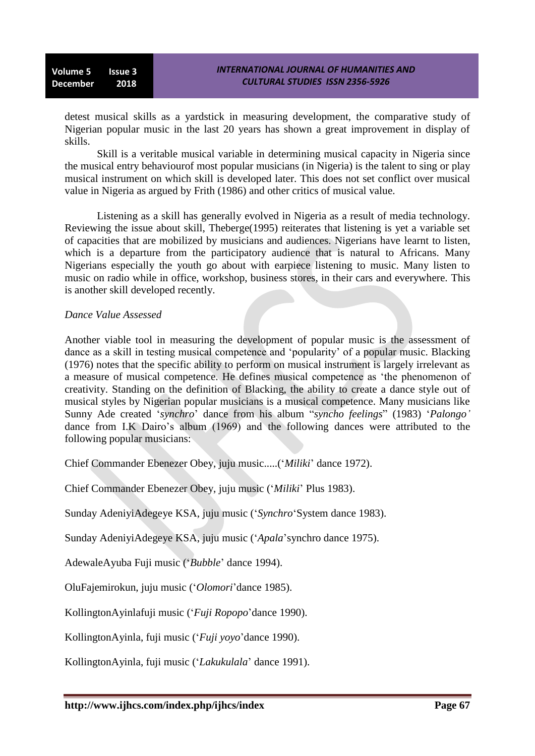detest musical skills as a yardstick in measuring development, the comparative study of Nigerian popular music in the last 20 years has shown a great improvement in display of skills.

Skill is a veritable musical variable in determining musical capacity in Nigeria since the musical entry behaviourof most popular musicians (in Nigeria) is the talent to sing or play musical instrument on which skill is developed later. This does not set conflict over musical value in Nigeria as argued by Frith (1986) and other critics of musical value.

Listening as a skill has generally evolved in Nigeria as a result of media technology. Reviewing the issue about skill, Theberge(1995) reiterates that listening is yet a variable set of capacities that are mobilized by musicians and audiences. Nigerians have learnt to listen, which is a departure from the participatory audience that is natural to Africans. Many Nigerians especially the youth go about with earpiece listening to music. Many listen to music on radio while in office, workshop, business stores, in their cars and everywhere. This is another skill developed recently.

#### *Dance Value Assessed*

Another viable tool in measuring the development of popular music is the assessment of dance as a skill in testing musical competence and "popularity" of a popular music. Blacking (1976) notes that the specific ability to perform on musical instrument is largely irrelevant as a measure of musical competence. He defines musical competence as "the phenomenon of creativity. Standing on the definition of Blacking, the ability to create a dance style out of musical styles by Nigerian popular musicians is a musical competence. Many musicians like Sunny Ade created "*synchro*" dance from his album "*syncho feelings*" (1983) "*Palongo'* dance from I.K Dairo's album (1969) and the following dances were attributed to the following popular musicians:

Chief Commander Ebenezer Obey, juju music.....("*Miliki*" dance 1972).

Chief Commander Ebenezer Obey, juju music ("*Miliki*" Plus 1983).

Sunday AdeniyiAdegeye KSA, juju music ("*Synchro*"System dance 1983).

Sunday AdeniyiAdegeye KSA, juju music ("*Apala*"synchro dance 1975).

AdewaleAyuba Fuji music ("*Bubble*" dance 1994).

OluFajemirokun, juju music ("*Olomori*"dance 1985).

KollingtonAyinlafuji music ("*Fuji Ropopo*"dance 1990).

KollingtonAyinla, fuji music ("*Fuji yoyo*"dance 1990).

KollingtonAyinla, fuji music ("*Lakukulala*" dance 1991).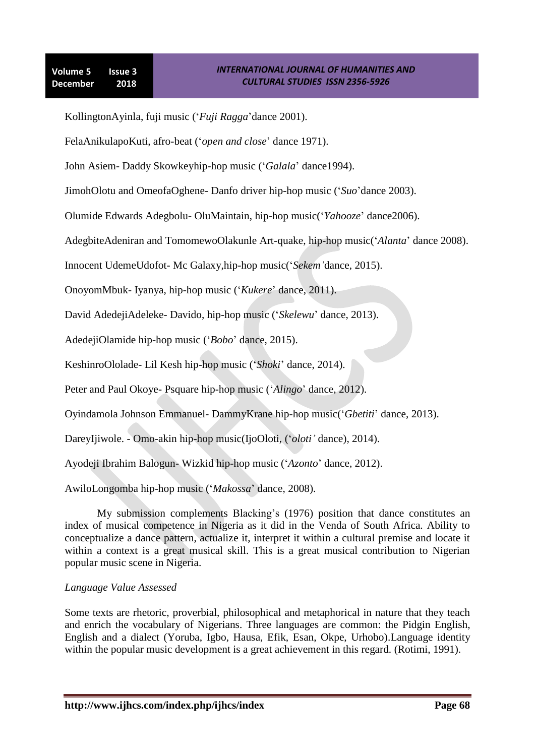KollingtonAyinla, fuji music ("*Fuji Ragga*"dance 2001).

FelaAnikulapoKuti, afro-beat ("*open and close*" dance 1971).

John Asiem- Daddy Skowkeyhip-hop music ("*Galala*" dance1994).

JimohOlotu and OmeofaOghene- Danfo driver hip-hop music ("*Suo*"dance 2003).

Olumide Edwards Adegbolu- OluMaintain, hip-hop music("*Yahooze*" dance2006).

AdegbiteAdeniran and TomomewoOlakunle Art-quake, hip-hop music("*Alanta*" dance 2008).

Innocent UdemeUdofot- Mc Galaxy,hip-hop music("*Sekem'*dance, 2015).

OnoyomMbuk- Iyanya, hip-hop music ("*Kukere*" dance, 2011).

David AdedejiAdeleke- Davido, hip-hop music ("*Skelewu*" dance, 2013).

AdedejiOlamide hip-hop music ("*Bobo*" dance, 2015).

KeshinroOlolade- Lil Kesh hip-hop music ("*Shoki*" dance, 2014).

Peter and Paul Okoye- Psquare hip-hop music ("*Alingo*" dance, 2012).

Oyindamola Johnson Emmanuel- DammyKrane hip-hop music("*Gbetiti*" dance, 2013).

DareyIjiwole. - Omo-akin hip-hop music(IjoOloti, ("*oloti'* dance), 2014).

Ayodeji Ibrahim Balogun- Wizkid hip-hop music ("*Azonto*" dance, 2012).

AwiloLongomba hip-hop music ("*Makossa*" dance, 2008).

My submission complements Blacking"s (1976) position that dance constitutes an index of musical competence in Nigeria as it did in the Venda of South Africa. Ability to conceptualize a dance pattern, actualize it, interpret it within a cultural premise and locate it within a context is a great musical skill. This is a great musical contribution to Nigerian popular music scene in Nigeria.

#### *Language Value Assessed*

Some texts are rhetoric, proverbial, philosophical and metaphorical in nature that they teach and enrich the vocabulary of Nigerians. Three languages are common: the Pidgin English, English and a dialect (Yoruba, Igbo, Hausa, Efik, Esan, Okpe, Urhobo).Language identity within the popular music development is a great achievement in this regard. (Rotimi, 1991).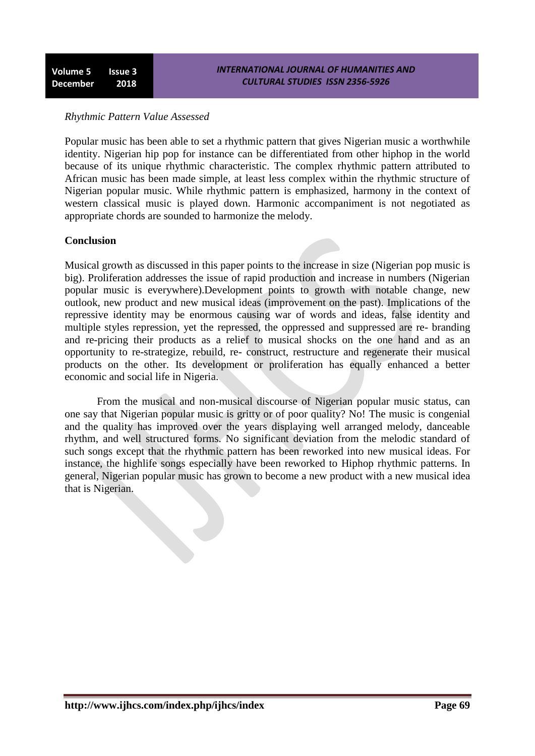# *Rhythmic Pattern Value Assessed*

Popular music has been able to set a rhythmic pattern that gives Nigerian music a worthwhile identity. Nigerian hip pop for instance can be differentiated from other hiphop in the world because of its unique rhythmic characteristic. The complex rhythmic pattern attributed to African music has been made simple, at least less complex within the rhythmic structure of Nigerian popular music. While rhythmic pattern is emphasized, harmony in the context of western classical music is played down. Harmonic accompaniment is not negotiated as appropriate chords are sounded to harmonize the melody.

#### **Conclusion**

Musical growth as discussed in this paper points to the increase in size (Nigerian pop music is big). Proliferation addresses the issue of rapid production and increase in numbers (Nigerian popular music is everywhere).Development points to growth with notable change, new outlook, new product and new musical ideas (improvement on the past). Implications of the repressive identity may be enormous causing war of words and ideas, false identity and multiple styles repression, yet the repressed, the oppressed and suppressed are re- branding and re-pricing their products as a relief to musical shocks on the one hand and as an opportunity to re-strategize, rebuild, re- construct, restructure and regenerate their musical products on the other. Its development or proliferation has equally enhanced a better economic and social life in Nigeria.

From the musical and non-musical discourse of Nigerian popular music status, can one say that Nigerian popular music is gritty or of poor quality? No! The music is congenial and the quality has improved over the years displaying well arranged melody, danceable rhythm, and well structured forms. No significant deviation from the melodic standard of such songs except that the rhythmic pattern has been reworked into new musical ideas. For instance, the highlife songs especially have been reworked to Hiphop rhythmic patterns. In general, Nigerian popular music has grown to become a new product with a new musical idea that is Nigerian.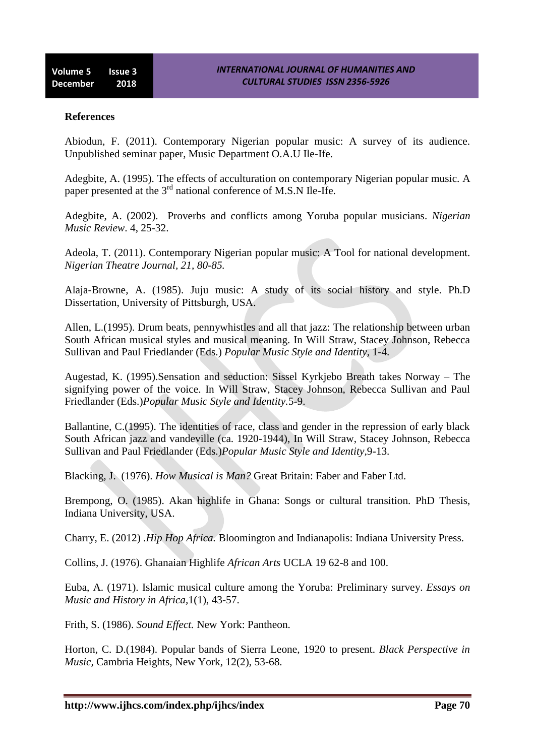### **References**

Abiodun, F. (2011). Contemporary Nigerian popular music: A survey of its audience. Unpublished seminar paper, Music Department O.A.U Ile-Ife.

Adegbite, A. (1995). The effects of acculturation on contemporary Nigerian popular music. A paper presented at the 3<sup>rd</sup> national conference of M.S.N Ile-Ife.

Adegbite, A. (2002). Proverbs and conflicts among Yoruba popular musicians. *Nigerian Music Review*. 4, 25-32.

Adeola, T. (2011). Contemporary Nigerian popular music: A Tool for national development. *Nigerian Theatre Journal, 21, 80-85.*

Alaja-Browne, A. (1985). Juju music: A study of its social history and style. Ph.D Dissertation, University of Pittsburgh, USA.

Allen, L.(1995). Drum beats, pennywhistles and all that jazz: The relationship between urban South African musical styles and musical meaning. In Will Straw, Stacey Johnson, Rebecca Sullivan and Paul Friedlander (Eds.) *Popular Music Style and Identity,* 1-4.

Augestad, K. (1995).Sensation and seduction: Sissel Kyrkjebo Breath takes Norway – The signifying power of the voice. In Will Straw, Stacey Johnson, Rebecca Sullivan and Paul Friedlander (Eds.)*Popular Music Style and Identity.*5-9.

Ballantine, C.(1995). The identities of race, class and gender in the repression of early black South African jazz and vandeville (ca. 1920-1944), In Will Straw, Stacey Johnson, Rebecca Sullivan and Paul Friedlander (Eds.)*Popular Music Style and Identity,*9-13.

Blacking, J. (1976). *How Musical is Man?* Great Britain: Faber and Faber Ltd.

Brempong, O. (1985). Akan highlife in Ghana: Songs or cultural transition. PhD Thesis, Indiana University, USA.

Charry, E. (2012) .*Hip Hop Africa.* Bloomington and Indianapolis: Indiana University Press.

Collins, J. (1976). Ghanaian Highlife *African Arts* UCLA 19 62-8 and 100.

Euba, A. (1971). Islamic musical culture among the Yoruba: Preliminary survey. *Essays on Music and History in Africa,*1(1), 43-57.

Frith, S. (1986). *Sound Effect.* New York: Pantheon.

Horton, C. D.(1984). Popular bands of Sierra Leone, 1920 to present. *Black Perspective in Music,* Cambria Heights, New York, 12(2), 53-68.